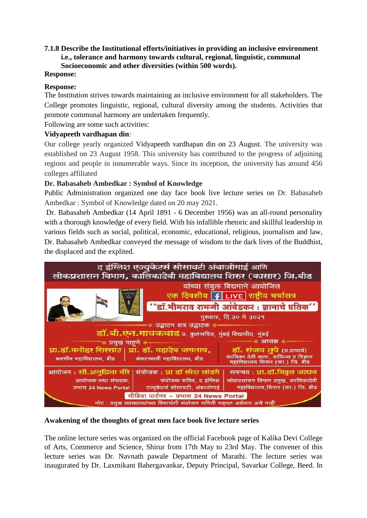## **7.1.8 Describe the Institutional efforts/initiatives in providing an inclusive environment i.e., tolerance and harmony towards cultural, regional, linguistic, communal Socioeconomic and other diversities (within 500 words).**

### **Response:**

### **Response:**

The Institution strives towards maintaining an inclusive environment for all stakeholders. The College promotes linguistic, regional, cultural diversity among the students. Activities that promote communal harmony are undertaken frequently.

Following are some such activities:

### **Vidyapeeth vardhapan din**:

Our college yearly organized Vidyapeeth vardhapan din on 23 August. The university was established on 23 August 1958. This university has contributed to the progress of adjoining regions and people in innumerable ways. Since its inception, the university has around 456 colleges affiliated

### **Dr. Babasaheb Ambedkar : Symbol of Knowledge**

Public Administration organized one day face book live lecture series on Dr. Babasaheb Ambedkar : Symbol of Knowledge dated on 20 may 2021.

Dr. Babasaheb Ambedkar (14 April 1891 - 6 December 1956) was an all-round personality with a thorough knowledge of every field. With his infallible rhetoric and skillful leadership in various fields such as social, political, economic, educational, religious, journalism and law, Dr. Babasaheb Ambedkar conveyed the message of wisdom to the dark lives of the Buddhist, the displaced and the explited.



### **Awakening of the thoughts of great men face book live lecture series**

The online lecture series was organized on the official Facebook page of Kalika Devi College of Arts, Commerce and Science, Shirur from 17th May to 23rd May. The convener of this lecture series was Dr. Navnath pawale Department of Marathi. The lecture series was inaugurated by Dr. Laxmikant Bahergavankar, Deputy Principal, Savarkar College, Beed. In